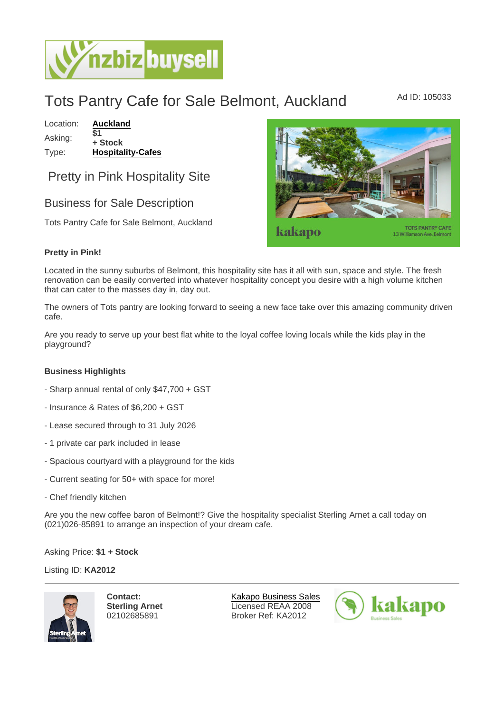## Tots Pantry Cafe for Sale Belmont, Auckland Ad ID: 105033

Location: [Auckland](https://www.nzbizbuysell.co.nz/businesses-for-sale/location/Auckland) Asking:  $\overline{\$1}$ + Stock Type: [Hospitality-Cafes](https://www.nzbizbuysell.co.nz/businesses-for-sale/Cafes/New-Zealand)

Pretty in Pink Hospitality Site

## Business for Sale Description

Tots Pantry Cafe for Sale Belmont, Auckland

Pretty in Pink!

Located in the sunny suburbs of Belmont, this hospitality site has it all with sun, space and style. The fresh renovation can be easily converted into whatever hospitality concept you desire with a high volume kitchen that can cater to the masses day in, day out.

The owners of Tots pantry are looking forward to seeing a new face take over this amazing community driven cafe.

Are you ready to serve up your best flat white to the loyal coffee loving locals while the kids play in the playground?

Business Highlights

- Sharp annual rental of only \$47,700 + GST
- Insurance & Rates of \$6,200 + GST
- Lease secured through to 31 July 2026
- 1 private car park included in lease
- Spacious courtyard with a playground for the kids
- Current seating for 50+ with space for more!
- Chef friendly kitchen

Are you the new coffee baron of Belmont!? Give the hospitality specialist Sterling Arnet a call today on (021)026-85891 to arrange an inspection of your dream cafe.

Asking Price: \$1 + Stock

Listing ID: KA2012

Contact: Sterling Arnet 02102685891

[Kakapo Business Sales](https://www.nzbizbuysell.co.nz/business-brokers/216/kakapo-business-sales/brokerage-listings) Licensed REAA 2008 Broker Ref: KA2012